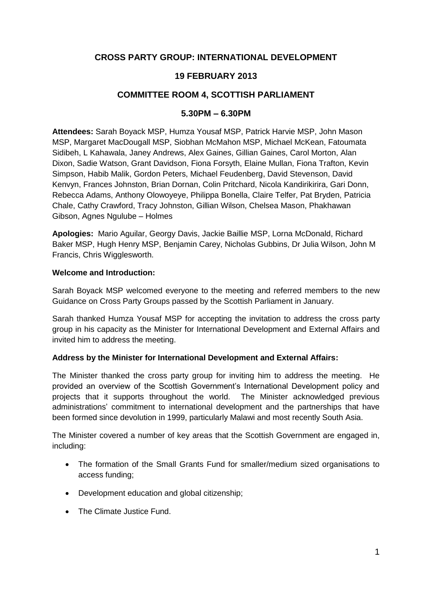# **CROSS PARTY GROUP: INTERNATIONAL DEVELOPMENT**

# **19 FEBRUARY 2013**

## **COMMITTEE ROOM 4, SCOTTISH PARLIAMENT**

### **5.30PM – 6.30PM**

**Attendees:** Sarah Boyack MSP, Humza Yousaf MSP, Patrick Harvie MSP, John Mason MSP, Margaret MacDougall MSP, Siobhan McMahon MSP, Michael McKean, Fatoumata Sidibeh, L Kahawala, Janey Andrews, Alex Gaines, Gillian Gaines, Carol Morton, Alan Dixon, Sadie Watson, Grant Davidson, Fiona Forsyth, Elaine Mullan, Fiona Trafton, Kevin Simpson, Habib Malik, Gordon Peters, Michael Feudenberg, David Stevenson, David Kenvyn, Frances Johnston, Brian Dornan, Colin Pritchard, Nicola Kandirikirira, Gari Donn, Rebecca Adams, Anthony Olowoyeye, Philippa Bonella, Claire Telfer, Pat Bryden, Patricia Chale, Cathy Crawford, Tracy Johnston, Gillian Wilson, Chelsea Mason, Phakhawan Gibson, Agnes Ngulube – Holmes

**Apologies:** Mario Aguilar, Georgy Davis, Jackie Baillie MSP, Lorna McDonald, Richard Baker MSP, Hugh Henry MSP, Benjamin Carey, Nicholas Gubbins, Dr Julia Wilson, John M Francis, Chris Wigglesworth.

#### **Welcome and Introduction:**

Sarah Boyack MSP welcomed everyone to the meeting and referred members to the new Guidance on Cross Party Groups passed by the Scottish Parliament in January.

Sarah thanked Humza Yousaf MSP for accepting the invitation to address the cross party group in his capacity as the Minister for International Development and External Affairs and invited him to address the meeting.

### **Address by the Minister for International Development and External Affairs:**

The Minister thanked the cross party group for inviting him to address the meeting. He provided an overview of the Scottish Government's International Development policy and projects that it supports throughout the world. The Minister acknowledged previous administrations' commitment to international development and the partnerships that have been formed since devolution in 1999, particularly Malawi and most recently South Asia.

The Minister covered a number of key areas that the Scottish Government are engaged in, including:

- The formation of the Small Grants Fund for smaller/medium sized organisations to access funding;
- Development education and global citizenship;
- The Climate Justice Fund.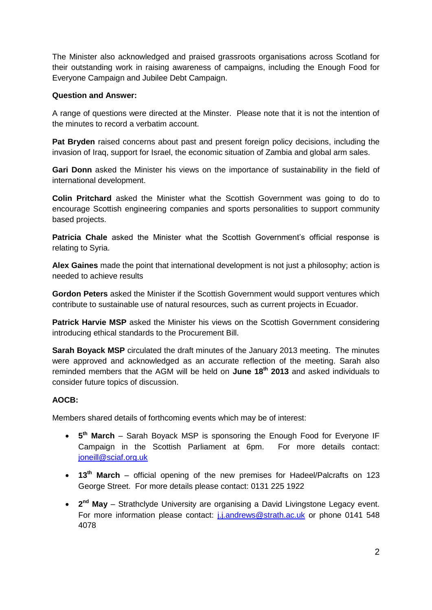The Minister also acknowledged and praised grassroots organisations across Scotland for their outstanding work in raising awareness of campaigns, including the Enough Food for Everyone Campaign and Jubilee Debt Campaign.

## **Question and Answer:**

A range of questions were directed at the Minster. Please note that it is not the intention of the minutes to record a verbatim account.

**Pat Bryden** raised concerns about past and present foreign policy decisions, including the invasion of Iraq, support for Israel, the economic situation of Zambia and global arm sales.

**Gari Donn** asked the Minister his views on the importance of sustainability in the field of international development.

**Colin Pritchard** asked the Minister what the Scottish Government was going to do to encourage Scottish engineering companies and sports personalities to support community based projects.

**Patricia Chale** asked the Minister what the Scottish Government's official response is relating to Syria.

**Alex Gaines** made the point that international development is not just a philosophy; action is needed to achieve results

**Gordon Peters** asked the Minister if the Scottish Government would support ventures which contribute to sustainable use of natural resources, such as current projects in Ecuador.

**Patrick Harvie MSP** asked the Minister his views on the Scottish Government considering introducing ethical standards to the Procurement Bill.

**Sarah Boyack MSP** circulated the draft minutes of the January 2013 meeting. The minutes were approved and acknowledged as an accurate reflection of the meeting. Sarah also reminded members that the AGM will be held on **June 18th 2013** and asked individuals to consider future topics of discussion.

## **AOCB:**

Members shared details of forthcoming events which may be of interest:

- **5<sup>th</sup> March** Sarah Boyack MSP is sponsoring the Enough Food for Everyone IF Campaign in the Scottish Parliament at 6pm. For more details contact: [joneill@sciaf.org.uk](mailto:joneill@sciaf.org.uk)
- **13th March** official opening of the new premises for Hadeel/Palcrafts on 123 George Street. For more details please contact: 0131 225 1922
- **2<sup>nd</sup> May** Strathclyde University are organising a David Livingstone Legacy event. For more information please contact: [j.j.andrews@strath.ac.uk](mailto:j.j.andrews@strath.ac.uk) or phone 0141 548 4078